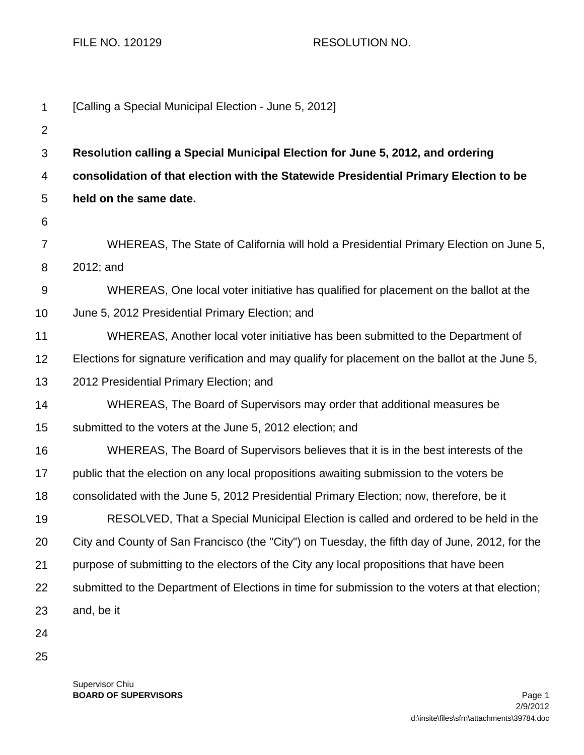FILE NO. 120129 RESOLUTION NO.

| $\mathbf 1$    | [Calling a Special Municipal Election - June 5, 2012]                                           |
|----------------|-------------------------------------------------------------------------------------------------|
| $\overline{2}$ |                                                                                                 |
| 3              | Resolution calling a Special Municipal Election for June 5, 2012, and ordering                  |
| 4              | consolidation of that election with the Statewide Presidential Primary Election to be           |
| 5              | held on the same date.                                                                          |
| 6              |                                                                                                 |
| $\overline{7}$ | WHEREAS, The State of California will hold a Presidential Primary Election on June 5,           |
| 8              | 2012; and                                                                                       |
| $9\,$          | WHEREAS, One local voter initiative has qualified for placement on the ballot at the            |
| 10             | June 5, 2012 Presidential Primary Election; and                                                 |
| 11             | WHEREAS, Another local voter initiative has been submitted to the Department of                 |
| 12             | Elections for signature verification and may qualify for placement on the ballot at the June 5, |
| 13             | 2012 Presidential Primary Election; and                                                         |
| 14             | WHEREAS, The Board of Supervisors may order that additional measures be                         |
| 15             | submitted to the voters at the June 5, 2012 election; and                                       |
| 16             | WHEREAS, The Board of Supervisors believes that it is in the best interests of the              |
| 17             | public that the election on any local propositions awaiting submission to the voters be         |
| 18             | consolidated with the June 5, 2012 Presidential Primary Election; now, therefore, be it         |
| 19             | RESOLVED, That a Special Municipal Election is called and ordered to be held in the             |
| 20             | City and County of San Francisco (the "City") on Tuesday, the fifth day of June, 2012, for the  |
| 21             | purpose of submitting to the electors of the City any local propositions that have been         |
| 22             | submitted to the Department of Elections in time for submission to the voters at that election; |
| 23             | and, be it                                                                                      |
| 24             |                                                                                                 |
| 25             |                                                                                                 |

Supervisor Chiu